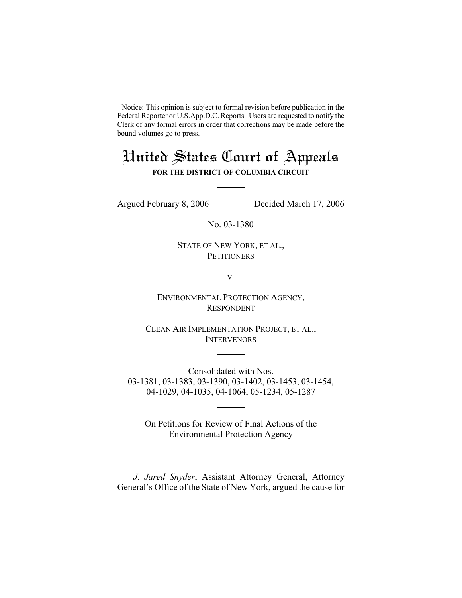Notice: This opinion is subject to formal revision before publication in the Federal Reporter or U.S.App.D.C. Reports. Users are requested to notify the Clerk of any formal errors in order that corrections may be made before the bound volumes go to press.

## United States Court of Appeals

**FOR THE DISTRICT OF COLUMBIA CIRCUIT**

Argued February 8, 2006 Decided March 17, 2006

No. 03-1380

STATE OF NEW YORK, ET AL., **PETITIONERS** 

v.

ENVIRONMENTAL PROTECTION AGENCY, RESPONDENT

CLEAN AIR IMPLEMENTATION PROJECT, ET AL., **INTERVENORS** 

Consolidated with Nos. 03-1381, 03-1383, 03-1390, 03-1402, 03-1453, 03-1454, 04-1029, 04-1035, 04-1064, 05-1234, 05-1287

On Petitions for Review of Final Actions of the Environmental Protection Agency

*J. Jared Snyder*, Assistant Attorney General, Attorney General's Office of the State of New York, argued the cause for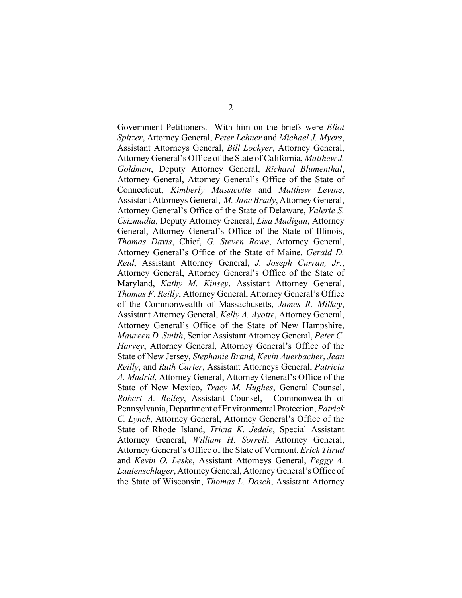Government Petitioners. With him on the briefs were *Eliot Spitzer*, Attorney General, *Peter Lehner* and *Michael J. Myers*, Assistant Attorneys General, *Bill Lockyer*, Attorney General, Attorney General's Office of the State of California, *Matthew J. Goldman*, Deputy Attorney General, *Richard Blumenthal*, Attorney General, Attorney General's Office of the State of Connecticut, *Kimberly Massicotte* and *Matthew Levine*, Assistant Attorneys General, *M. Jane Brady*, Attorney General, Attorney General's Office of the State of Delaware, *Valerie S. Csizmadia*, Deputy Attorney General, *Lisa Madigan*, Attorney General, Attorney General's Office of the State of Illinois, *Thomas Davis*, Chief, *G. Steven Rowe*, Attorney General, Attorney General's Office of the State of Maine, *Gerald D. Reid*, Assistant Attorney General, *J. Joseph Curran, Jr.*, Attorney General, Attorney General's Office of the State of Maryland, *Kathy M. Kinsey*, Assistant Attorney General, *Thomas F. Reilly*, Attorney General, Attorney General's Office of the Commonwealth of Massachusetts, *James R. Milkey*, Assistant Attorney General, *Kelly A. Ayotte*, Attorney General, Attorney General's Office of the State of New Hampshire, *Maureen D. Smith*, Senior Assistant Attorney General, *Peter C. Harvey*, Attorney General, Attorney General's Office of the State of New Jersey, *Stephanie Brand*, *Kevin Auerbacher*, *Jean Reilly*, and *Ruth Carter*, Assistant Attorneys General, *Patricia A. Madrid*, Attorney General, Attorney General's Office of the State of New Mexico, *Tracy M. Hughes*, General Counsel, *Robert A. Reiley*, Assistant Counsel, Commonwealth of Pennsylvania, Department of Environmental Protection, *Patrick C. Lynch*, Attorney General, Attorney General's Office of the State of Rhode Island, *Tricia K. Jedele*, Special Assistant Attorney General, *William H. Sorrell*, Attorney General, Attorney General's Office of the State of Vermont, *Erick Titrud* and *Kevin O. Leske*, Assistant Attorneys General, *Peggy A. Lautenschlager*, Attorney General, Attorney General's Office of the State of Wisconsin, *Thomas L. Dosch*, Assistant Attorney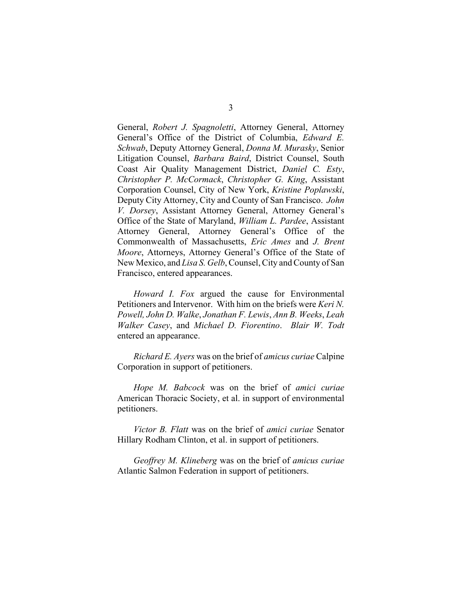General, *Robert J. Spagnoletti*, Attorney General, Attorney General's Office of the District of Columbia, *Edward E. Schwab*, Deputy Attorney General, *Donna M. Murasky*, Senior Litigation Counsel, *Barbara Baird*, District Counsel, South Coast Air Quality Management District, *Daniel C. Esty*, *Christopher P. McCormack*, *Christopher G. King*, Assistant Corporation Counsel, City of New York, *Kristine Poplawski*, Deputy City Attorney, City and County of San Francisco. *John V. Dorsey*, Assistant Attorney General, Attorney General's Office of the State of Maryland, *William L. Pardee*, Assistant Attorney General, Attorney General's Office of the Commonwealth of Massachusetts, *Eric Ames* and *J. Brent Moore*, Attorneys, Attorney General's Office of the State of New Mexico, and *Lisa S. Gelb*, Counsel, City and County of San Francisco, entered appearances.

*Howard I. Fox* argued the cause for Environmental Petitioners and Intervenor. With him on the briefs were *Keri N. Powell, John D. Walke*, *Jonathan F. Lewis*, *Ann B. Weeks*, *Leah Walker Casey*, and *Michael D. Fiorentino*. *Blair W. Todt* entered an appearance.

*Richard E. Ayers* was on the brief of *amicus curiae* Calpine Corporation in support of petitioners.

*Hope M. Babcock* was on the brief of *amici curiae* American Thoracic Society, et al. in support of environmental petitioners.

*Victor B. Flatt* was on the brief of *amici curiae* Senator Hillary Rodham Clinton, et al. in support of petitioners.

*Geoffrey M. Klineberg* was on the brief of *amicus curiae* Atlantic Salmon Federation in support of petitioners.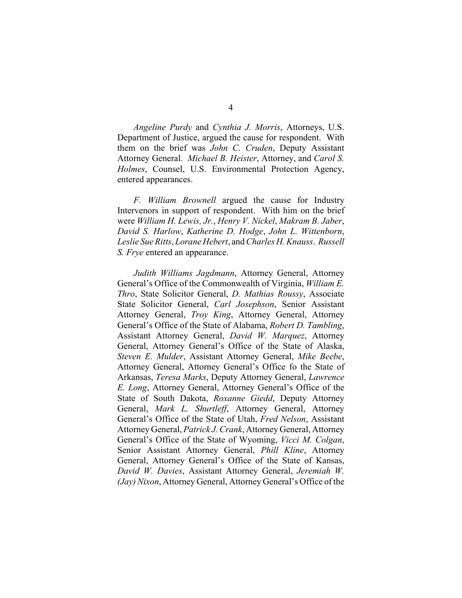*Angeline Purdy* and *Cynthia J. Morris*, Attorneys, U.S. Department of Justice, argued the cause for respondent. With them on the brief was *John C. Cruden*, Deputy Assistant Attorney General. *Michael B. Heister*, Attorney, and *Carol S. Holmes*, Counsel, U.S. Environmental Protection Agency, entered appearances.

*F. William Brownell* argued the cause for Industry Intervenors in support of respondent. With him on the brief were *William H. Lewis, Jr.*, *Henry V. Nickel*, *Makram B. Jaber*, *David S. Harlow*, *Katherine D. Hodge*, *John L. Wittenborn*, *Leslie Sue Ritts*, *Lorane Hebert*, and *Charles H. Knauss*. *Russell S. Frye* entered an appearance.

*Judith Williams Jagdmann*, Attorney General, Attorney General's Office of the Commonwealth of Virginia, *William E. Thro*, State Solicitor General, *D. Mathias Roussy*, Associate State Solicitor General, *Carl Josephson*, Senior Assistant Attorney General, *Troy King*, Attorney General, Attorney General's Office of the State of Alabama, *Robert D. Tambling*, Assistant Attorney General, *David W. Marquez*, Attorney General, Attorney General's Office of the State of Alaska, *Steven E. Mulder*, Assistant Attorney General, *Mike Beebe*, Attorney General, Attorney General's Office fo the State of Arkansas, *Teresa Marks*, Deputy Attorney General, *Lawrence E. Long*, Attorney General, Attorney General's Office of the State of South Dakota, *Roxanne Giedd*, Deputy Attorney General, *Mark L. Shurtleff*, Attorney General, Attorney General's Office of the State of Utah, *Fred Nelson*, Assistant Attorney General, *Patrick J. Crank*, Attorney General, Attorney General's Office of the State of Wyoming, *Vicci M. Colgan*, Senior Assistant Attorney General, *Phill Kline*, Attorney General, Attorney General's Office of the State of Kansas, *David W. Davies*, Assistant Attorney General, *Jeremiah W. (Jay) Nixon*, Attorney General, Attorney General's Office of the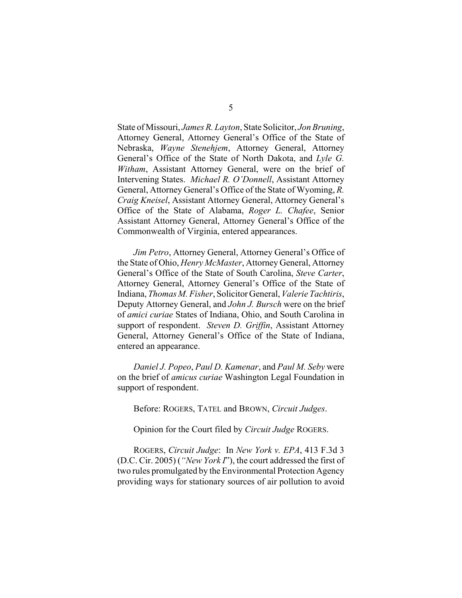State of Missouri, *James R. Layton*, State Solicitor, *Jon Bruning*, Attorney General, Attorney General's Office of the State of Nebraska, *Wayne Stenehjem*, Attorney General, Attorney General's Office of the State of North Dakota, and *Lyle G. Witham*, Assistant Attorney General, were on the brief of Intervening States. *Michael R. O'Donnell*, Assistant Attorney General, Attorney General's Office of the State of Wyoming, *R. Craig Kneisel*, Assistant Attorney General, Attorney General's Office of the State of Alabama, *Roger L. Chafee*, Senior Assistant Attorney General, Attorney General's Office of the Commonwealth of Virginia, entered appearances.

*Jim Petro*, Attorney General, Attorney General's Office of the State of Ohio, *Henry McMaster*, Attorney General, Attorney General's Office of the State of South Carolina, *Steve Carter*, Attorney General, Attorney General's Office of the State of Indiana, *Thomas M. Fisher*, Solicitor General, *Valerie Tachtiris*, Deputy Attorney General, and *John J. Bursch* were on the brief of *amici curiae* States of Indiana, Ohio, and South Carolina in support of respondent. *Steven D. Griffin*, Assistant Attorney General, Attorney General's Office of the State of Indiana, entered an appearance.

*Daniel J. Popeo*, *Paul D. Kamenar*, and *Paul M. Seby* were on the brief of *amicus curiae* Washington Legal Foundation in support of respondent.

Before: ROGERS, TATEL and BROWN, *Circuit Judges*.

Opinion for the Court filed by *Circuit Judge* ROGERS.

ROGERS, *Circuit Judge*: In *New York v. EPA*, 413 F.3d 3 (D.C. Cir. 2005) (*"New York I*"), the court addressed the first of two rules promulgated by the Environmental Protection Agency providing ways for stationary sources of air pollution to avoid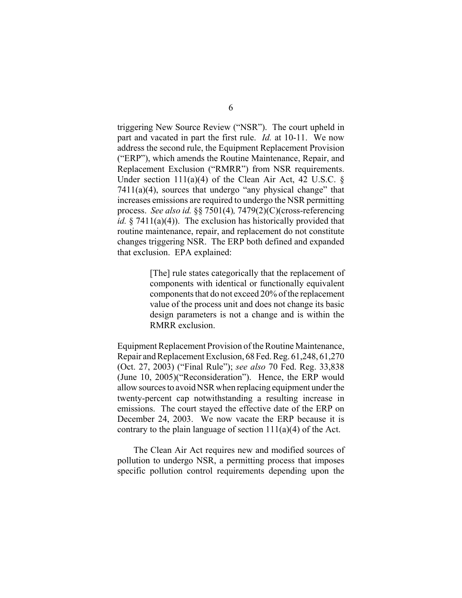triggering New Source Review ("NSR"). The court upheld in part and vacated in part the first rule. *Id.* at 10-11. We now address the second rule, the Equipment Replacement Provision ("ERP"), which amends the Routine Maintenance, Repair, and Replacement Exclusion ("RMRR") from NSR requirements. Under section  $111(a)(4)$  of the Clean Air Act, 42 U.S.C. §  $7411(a)(4)$ , sources that undergo "any physical change" that increases emissions are required to undergo the NSR permitting process. *See also id.* §§ 7501(4)*,* 7479(2)(C)(cross-referencing *id.* § 7411(a)(4)). The exclusion has historically provided that routine maintenance, repair, and replacement do not constitute changes triggering NSR. The ERP both defined and expanded that exclusion. EPA explained:

> [The] rule states categorically that the replacement of components with identical or functionally equivalent components that do not exceed 20% of the replacement value of the process unit and does not change its basic design parameters is not a change and is within the RMRR exclusion.

Equipment Replacement Provision of the Routine Maintenance, Repair and Replacement Exclusion, 68 Fed. Reg. 61,248, 61,270 (Oct. 27, 2003) ("Final Rule"); *see also* 70 Fed. Reg. 33,838 (June 10, 2005)("Reconsideration"). Hence, the ERP would allow sources to avoid NSR when replacing equipment under the twenty-percent cap notwithstanding a resulting increase in emissions. The court stayed the effective date of the ERP on December 24, 2003. We now vacate the ERP because it is contrary to the plain language of section  $111(a)(4)$  of the Act.

The Clean Air Act requires new and modified sources of pollution to undergo NSR, a permitting process that imposes specific pollution control requirements depending upon the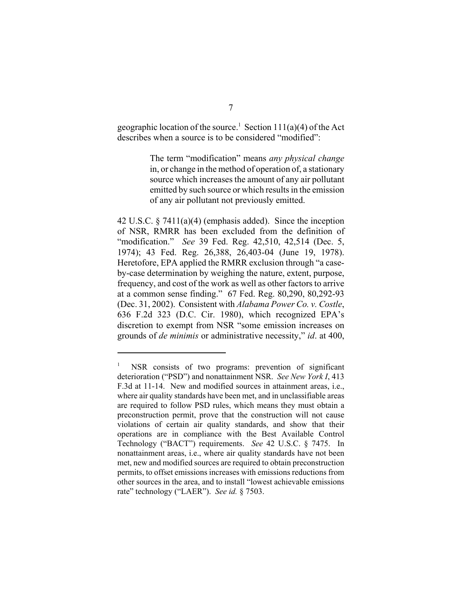geographic location of the source.<sup>1</sup> Section 111(a)(4) of the Act describes when a source is to be considered "modified":

> The term "modification" means *any physical change* in, or change in the method of operation of, a stationary source which increases the amount of any air pollutant emitted by such source or which results in the emission of any air pollutant not previously emitted.

42 U.S.C. § 7411(a)(4) (emphasis added). Since the inception of NSR, RMRR has been excluded from the definition of "modification." *See* 39 Fed. Reg. 42,510, 42,514 (Dec. 5, 1974); 43 Fed. Reg. 26,388, 26,403-04 (June 19, 1978). Heretofore, EPA applied the RMRR exclusion through "a caseby-case determination by weighing the nature, extent, purpose, frequency, and cost of the work as well as other factors to arrive at a common sense finding." 67 Fed. Reg. 80,290, 80,292-93 (Dec. 31, 2002). Consistent with *Alabama Power Co. v. Costle*, 636 F.2d 323 (D.C. Cir. 1980), which recognized EPA's discretion to exempt from NSR "some emission increases on grounds of *de minimis* or administrative necessity," *id*. at 400,

<sup>1</sup> NSR consists of two programs: prevention of significant deterioration ("PSD") and nonattainment NSR. *See New York I*, 413 F.3d at 11-14. New and modified sources in attainment areas, i.e., where air quality standards have been met, and in unclassifiable areas are required to follow PSD rules, which means they must obtain a preconstruction permit, prove that the construction will not cause violations of certain air quality standards, and show that their operations are in compliance with the Best Available Control Technology ("BACT") requirements. *See* 42 U.S.C. § 7475. In nonattainment areas, i.e., where air quality standards have not been met, new and modified sources are required to obtain preconstruction permits, to offset emissions increases with emissions reductions from other sources in the area, and to install "lowest achievable emissions rate" technology ("LAER"). *See id.* § 7503.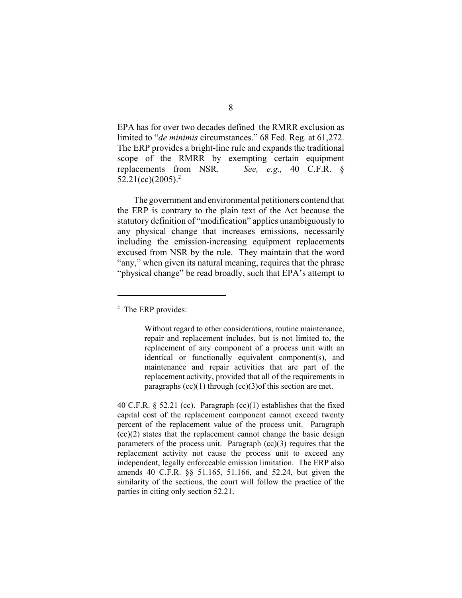EPA has for over two decades defined the RMRR exclusion as limited to "*de minimis* circumstances." 68 Fed. Reg. at 61,272. The ERP provides a bright-line rule and expands the traditional scope of the RMRR by exempting certain equipment replacements from NSR. *See, e.g.,* 40 C.F.R. §  $52.21$ (cc)(2005).<sup>2</sup>

The government and environmental petitioners contend that the ERP is contrary to the plain text of the Act because the statutory definition of "modification" applies unambiguously to any physical change that increases emissions, necessarily including the emission-increasing equipment replacements excused from NSR by the rule. They maintain that the word "any," when given its natural meaning, requires that the phrase "physical change" be read broadly, such that EPA's attempt to

<sup>2</sup> The ERP provides:

Without regard to other considerations, routine maintenance, repair and replacement includes, but is not limited to, the replacement of any component of a process unit with an identical or functionally equivalent component(s), and maintenance and repair activities that are part of the replacement activity, provided that all of the requirements in paragraphs  $(cc)(1)$  through  $(cc)(3)$ of this section are met.

40 C.F.R.  $\S$  52.21 (cc). Paragraph (cc)(1) establishes that the fixed capital cost of the replacement component cannot exceed twenty percent of the replacement value of the process unit. Paragraph (cc)(2) states that the replacement cannot change the basic design parameters of the process unit. Paragraph  $(cc)(3)$  requires that the replacement activity not cause the process unit to exceed any independent, legally enforceable emission limitation. The ERP also amends 40 C.F.R. §§ 51.165, 51.166, and 52.24, but given the similarity of the sections, the court will follow the practice of the parties in citing only section 52.21.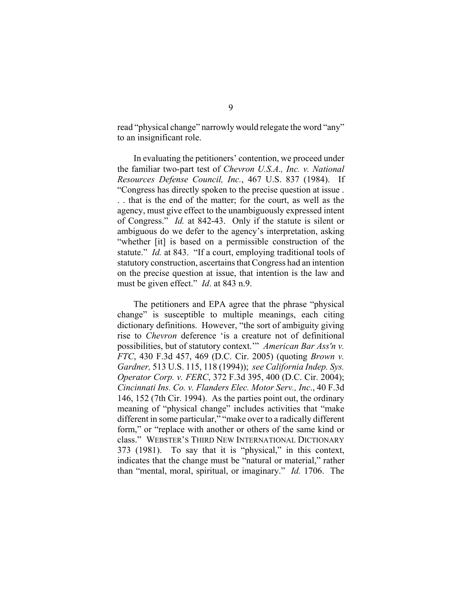read "physical change" narrowly would relegate the word "any" to an insignificant role.

In evaluating the petitioners' contention, we proceed under the familiar two-part test of *Chevron U.S.A., Inc. v. National Resources Defense Council, Inc.*, 467 U.S. 837 (1984). If "Congress has directly spoken to the precise question at issue . . . that is the end of the matter; for the court, as well as the agency, must give effect to the unambiguously expressed intent of Congress." *Id.* at 842-43. Only if the statute is silent or ambiguous do we defer to the agency's interpretation, asking "whether [it] is based on a permissible construction of the statute." *Id.* at 843. "If a court, employing traditional tools of statutory construction, ascertains that Congress had an intention on the precise question at issue, that intention is the law and must be given effect." *Id*. at 843 n.9.

The petitioners and EPA agree that the phrase "physical change" is susceptible to multiple meanings, each citing dictionary definitions. However, "the sort of ambiguity giving rise to *Chevron* deference 'is a creature not of definitional possibilities, but of statutory context.'" *American Bar Ass'n v. FTC*, 430 F.3d 457, 469 (D.C. Cir. 2005) (quoting *Brown v. Gardner,* 513 U.S. 115, 118 (1994)); *see California Indep. Sys. Operator Corp. v. FERC*, 372 F.3d 395, 400 (D.C. Cir. 2004); *Cincinnati Ins. Co. v. Flanders Elec. Motor Serv., Inc*., 40 F.3d 146, 152 (7th Cir. 1994). As the parties point out, the ordinary meaning of "physical change" includes activities that "make different in some particular," "make over to a radically different form," or "replace with another or others of the same kind or class." WEBSTER'S THIRD NEW INTERNATIONAL DICTIONARY 373 (1981). To say that it is "physical," in this context, indicates that the change must be "natural or material," rather than "mental, moral, spiritual, or imaginary." *Id.* 1706. The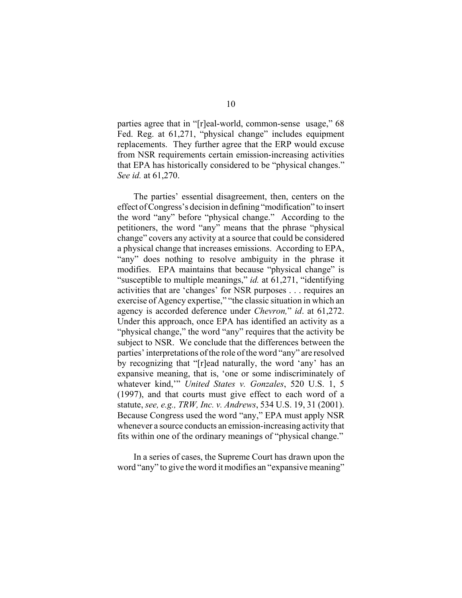parties agree that in "[r]eal-world, common-sense usage," 68 Fed. Reg. at  $61,271$ , "physical change" includes equipment replacements. They further agree that the ERP would excuse from NSR requirements certain emission-increasing activities that EPA has historically considered to be "physical changes." *See id.* at 61,270.

The parties' essential disagreement, then, centers on the effect of Congress's decision in defining "modification" to insert the word "any" before "physical change." According to the petitioners, the word "any" means that the phrase "physical change" covers any activity at a source that could be considered a physical change that increases emissions. According to EPA, "any" does nothing to resolve ambiguity in the phrase it modifies. EPA maintains that because "physical change" is "susceptible to multiple meanings," *id.* at 61,271, "identifying activities that are 'changes' for NSR purposes . . . requires an exercise of Agency expertise," "the classic situation in which an agency is accorded deference under *Chevron,*" *id*. at 61,272. Under this approach, once EPA has identified an activity as a "physical change," the word "any" requires that the activity be subject to NSR. We conclude that the differences between the parties' interpretations of the role of the word "any" are resolved by recognizing that "[r]ead naturally, the word 'any' has an expansive meaning, that is, 'one or some indiscriminately of whatever kind,'" *United States v. Gonzales*, 520 U.S. 1, 5 (1997), and that courts must give effect to each word of a statute, *see, e.g., TRW, Inc. v. Andrews*, 534 U.S. 19, 31 (2001). Because Congress used the word "any," EPA must apply NSR whenever a source conducts an emission-increasing activity that fits within one of the ordinary meanings of "physical change."

In a series of cases, the Supreme Court has drawn upon the word "any" to give the word it modifies an "expansive meaning"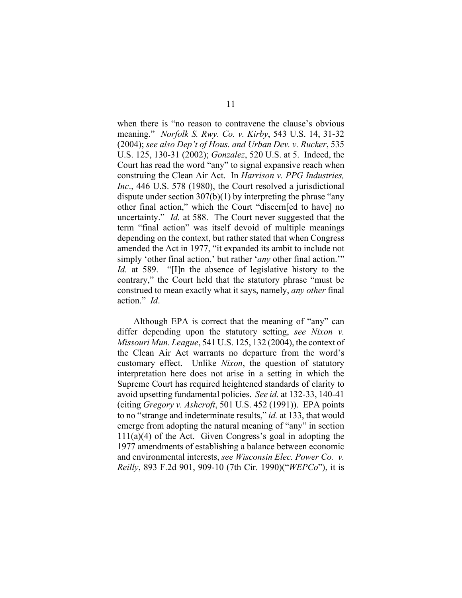when there is "no reason to contravene the clause's obvious meaning." *Norfolk S. Rwy. Co. v. Kirby*, 543 U.S. 14, 31-32 (2004); *see also Dep't of Hous. and Urban Dev. v. Rucker*, 535 U.S. 125, 130-31 (2002); *Gonzalez*, 520 U.S. at 5. Indeed, the Court has read the word "any" to signal expansive reach when construing the Clean Air Act. In *Harrison v. PPG Industries, Inc*., 446 U.S. 578 (1980), the Court resolved a jurisdictional dispute under section  $307(b)(1)$  by interpreting the phrase "any other final action," which the Court "discern[ed to have] no uncertainty." *Id.* at 588. The Court never suggested that the term "final action" was itself devoid of multiple meanings depending on the context, but rather stated that when Congress amended the Act in 1977, "it expanded its ambit to include not simply 'other final action,' but rather '*any* other final action.'" *Id.* at 589. "[I]n the absence of legislative history to the contrary," the Court held that the statutory phrase "must be construed to mean exactly what it says, namely, *any other* final action." *Id*.

Although EPA is correct that the meaning of "any" can differ depending upon the statutory setting, *see Nixon v. Missouri Mun. League*, 541 U.S. 125, 132 (2004), the context of the Clean Air Act warrants no departure from the word's customary effect. Unlike *Nixon*, the question of statutory interpretation here does not arise in a setting in which the Supreme Court has required heightened standards of clarity to avoid upsetting fundamental policies. *See id.* at 132-33, 140-41 (citing *Gregory v. Ashcroft*, 501 U.S. 452 (1991)). EPA points to no "strange and indeterminate results," *id.* at 133, that would emerge from adopting the natural meaning of "any" in section 111(a)(4) of the Act. Given Congress's goal in adopting the 1977 amendments of establishing a balance between economic and environmental interests, *see Wisconsin Elec. Power Co. v. Reilly*, 893 F.2d 901, 909-10 (7th Cir. 1990)("*WEPCo*"), it is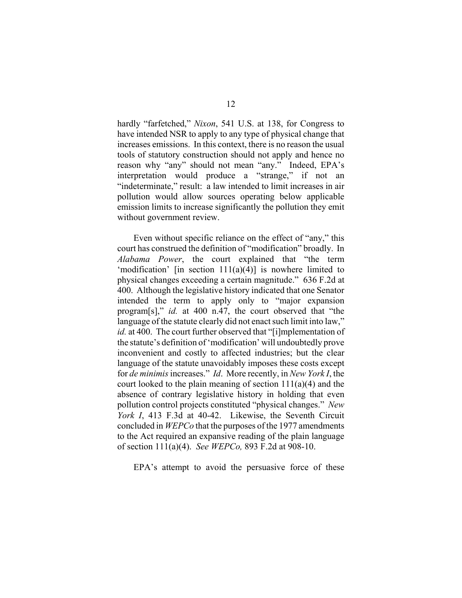hardly "farfetched," *Nixon*, 541 U.S. at 138, for Congress to have intended NSR to apply to any type of physical change that increases emissions. In this context, there is no reason the usual tools of statutory construction should not apply and hence no reason why "any" should not mean "any." Indeed, EPA's interpretation would produce a "strange," if not an "indeterminate," result: a law intended to limit increases in air pollution would allow sources operating below applicable emission limits to increase significantly the pollution they emit without government review.

Even without specific reliance on the effect of "any," this court has construed the definition of "modification" broadly. In *Alabama Power*, the court explained that "the term 'modification' [in section  $111(a)(4)$ ] is nowhere limited to physical changes exceeding a certain magnitude." 636 F.2d at 400. Although the legislative history indicated that one Senator intended the term to apply only to "major expansion program[s]," *id.* at 400 n.47, the court observed that "the language of the statute clearly did not enact such limit into law," *id.* at 400. The court further observed that "[i]mplementation of the statute's definition of 'modification' will undoubtedly prove inconvenient and costly to affected industries; but the clear language of the statute unavoidably imposes these costs except for *de minimis* increases." *Id*. More recently, in *New York I*, the court looked to the plain meaning of section  $111(a)(4)$  and the absence of contrary legislative history in holding that even pollution control projects constituted "physical changes." *New York I*, 413 F.3d at 40-42. Likewise, the Seventh Circuit concluded in *WEPCo* that the purposes of the 1977 amendments to the Act required an expansive reading of the plain language of section 111(a)(4). *See WEPCo,* 893 F.2d at 908-10.

EPA's attempt to avoid the persuasive force of these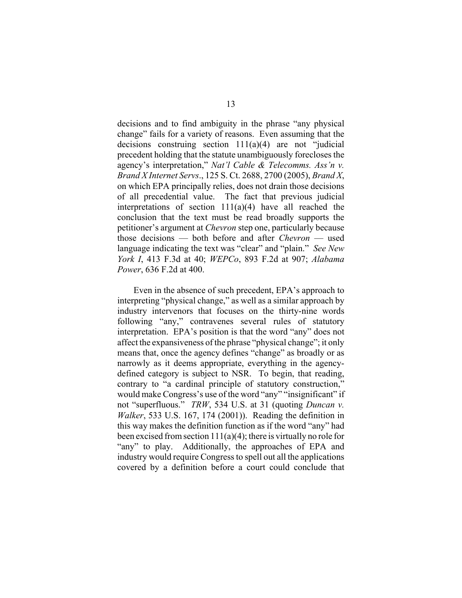decisions and to find ambiguity in the phrase "any physical change" fails for a variety of reasons. Even assuming that the decisions construing section  $111(a)(4)$  are not "judicial precedent holding that the statute unambiguously forecloses the agency's interpretation," *Nat'l Cable & Telecomms. Ass'n v. Brand X Internet Servs*., 125 S. Ct. 2688, 2700 (2005), *Brand X*, on which EPA principally relies, does not drain those decisions of all precedential value. The fact that previous judicial interpretations of section  $111(a)(4)$  have all reached the conclusion that the text must be read broadly supports the petitioner's argument at *Chevron* step one, particularly because those decisions — both before and after *Chevron* — used language indicating the text was "clear" and "plain." *See New York I*, 413 F.3d at 40; *WEPCo*, 893 F.2d at 907; *Alabama Power*, 636 F.2d at 400.

Even in the absence of such precedent, EPA's approach to interpreting "physical change," as well as a similar approach by industry intervenors that focuses on the thirty-nine words following "any," contravenes several rules of statutory interpretation. EPA's position is that the word "any" does not affect the expansiveness of the phrase "physical change"; it only means that, once the agency defines "change" as broadly or as narrowly as it deems appropriate, everything in the agencydefined category is subject to NSR. To begin, that reading, contrary to "a cardinal principle of statutory construction," would make Congress's use of the word "any" "insignificant" if not "superfluous." *TRW*, 534 U.S. at 31 (quoting *Duncan v. Walker*, 533 U.S. 167, 174 (2001)). Reading the definition in this way makes the definition function as if the word "any" had been excised from section  $111(a)(4)$ ; there is virtually no role for "any" to play. Additionally, the approaches of EPA and industry would require Congress to spell out all the applications covered by a definition before a court could conclude that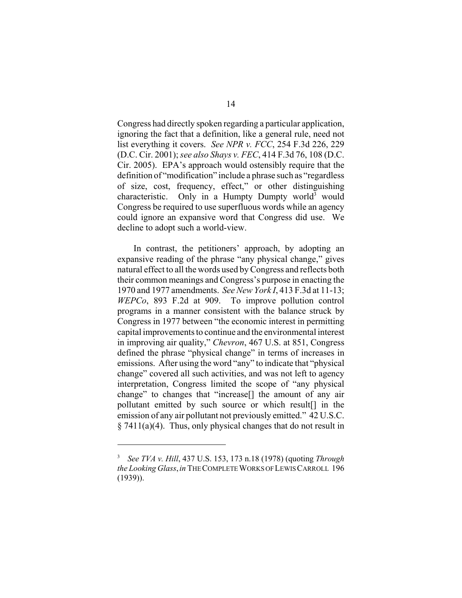Congress had directly spoken regarding a particular application, ignoring the fact that a definition, like a general rule, need not list everything it covers. *See NPR v. FCC*, 254 F.3d 226, 229 (D.C. Cir. 2001); *see also Shays v. FEC*, 414 F.3d 76, 108 (D.C. Cir. 2005). EPA's approach would ostensibly require that the definition of "modification" include a phrase such as "regardless of size, cost, frequency, effect," or other distinguishing characteristic. Only in a Humpty Dumpty world<sup>3</sup> would Congress be required to use superfluous words while an agency could ignore an expansive word that Congress did use. We decline to adopt such a world-view.

In contrast, the petitioners' approach, by adopting an expansive reading of the phrase "any physical change," gives natural effect to all the words used by Congress and reflects both their common meanings and Congress's purpose in enacting the 1970 and 1977 amendments. *See New York I*, 413 F.3d at 11-13; *WEPCo*, 893 F.2d at 909. To improve pollution control programs in a manner consistent with the balance struck by Congress in 1977 between "the economic interest in permitting capital improvements to continue and the environmental interest in improving air quality," *Chevron*, 467 U.S. at 851, Congress defined the phrase "physical change" in terms of increases in emissions. After using the word "any" to indicate that "physical change" covered all such activities, and was not left to agency interpretation, Congress limited the scope of "any physical change" to changes that "increase[] the amount of any air pollutant emitted by such source or which result[] in the emission of any air pollutant not previously emitted." 42 U.S.C.  $§ 7411(a)(4)$ . Thus, only physical changes that do not result in

<sup>3</sup> *See TVA v. Hill*, 437 U.S. 153, 173 n.18 (1978) (quoting *Through the Looking Glass*,*in* THE COMPLETE WORKS OF LEWIS CARROLL 196 (1939)).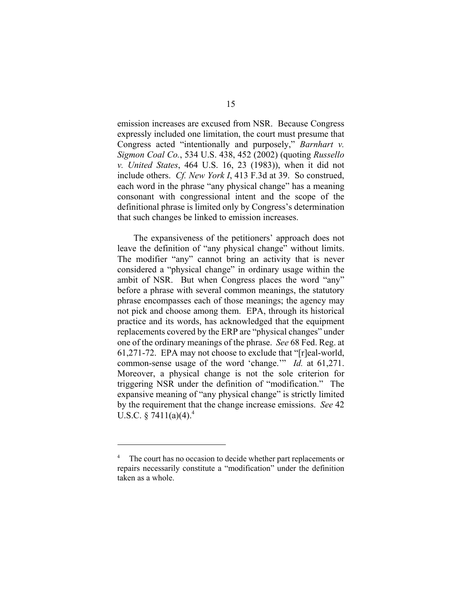emission increases are excused from NSR. Because Congress expressly included one limitation, the court must presume that Congress acted "intentionally and purposely," *Barnhart v. Sigmon Coal Co.*, 534 U.S. 438, 452 (2002) (quoting *Russello v. United States*, 464 U.S. 16, 23 (1983)), when it did not include others. *Cf. New York I*, 413 F.3d at 39. So construed, each word in the phrase "any physical change" has a meaning consonant with congressional intent and the scope of the definitional phrase is limited only by Congress's determination that such changes be linked to emission increases.

The expansiveness of the petitioners' approach does not leave the definition of "any physical change" without limits. The modifier "any" cannot bring an activity that is never considered a "physical change" in ordinary usage within the ambit of NSR. But when Congress places the word "any" before a phrase with several common meanings, the statutory phrase encompasses each of those meanings; the agency may not pick and choose among them. EPA, through its historical practice and its words, has acknowledged that the equipment replacements covered by the ERP are "physical changes" under one of the ordinary meanings of the phrase. *See* 68 Fed. Reg. at 61,271-72. EPA may not choose to exclude that "[r]eal-world, common-sense usage of the word 'change.'" *Id.* at 61,271. Moreover, a physical change is not the sole criterion for triggering NSR under the definition of "modification." The expansive meaning of "any physical change" is strictly limited by the requirement that the change increase emissions. *See* 42 U.S.C. § 7411(a)(4).<sup>4</sup>

<sup>4</sup> The court has no occasion to decide whether part replacements or repairs necessarily constitute a "modification" under the definition taken as a whole.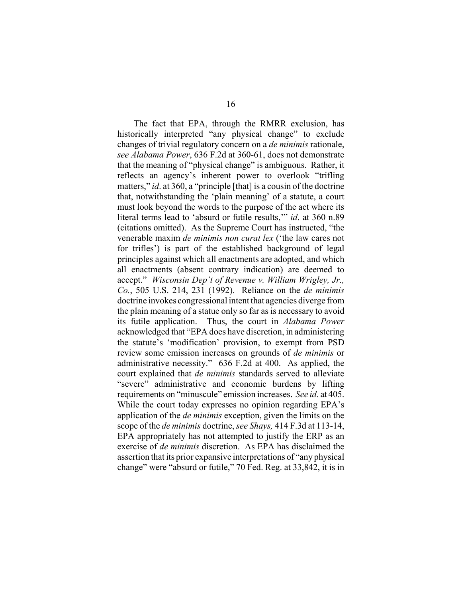The fact that EPA, through the RMRR exclusion, has historically interpreted "any physical change" to exclude changes of trivial regulatory concern on a *de minimis* rationale, *see Alabama Power*, 636 F.2d at 360-61, does not demonstrate that the meaning of "physical change" is ambiguous. Rather, it reflects an agency's inherent power to overlook "trifling matters," *id.* at 360, a "principle [that] is a cousin of the doctrine that, notwithstanding the 'plain meaning' of a statute, a court must look beyond the words to the purpose of the act where its literal terms lead to 'absurd or futile results,'" *id*. at 360 n.89 (citations omitted). As the Supreme Court has instructed, "the venerable maxim *de minimis non curat lex* ('the law cares not for trifles') is part of the established background of legal principles against which all enactments are adopted, and which all enactments (absent contrary indication) are deemed to accept." *Wisconsin Dep't of Revenue v. William Wrigley, Jr., Co.*, 505 U.S. 214, 231 (1992). Reliance on the *de minimis* doctrine invokes congressional intent that agencies diverge from the plain meaning of a statue only so far as is necessary to avoid its futile application. Thus, the court in *Alabama Power* acknowledged that "EPA does have discretion, in administering the statute's 'modification' provision, to exempt from PSD review some emission increases on grounds of *de minimis* or administrative necessity." 636 F.2d at 400. As applied, the court explained that *de minimis* standards served to alleviate "severe" administrative and economic burdens by lifting requirements on "minuscule" emission increases. *See id.* at 405. While the court today expresses no opinion regarding EPA's application of the *de minimis* exception, given the limits on the scope of the *de minimis* doctrine, *see Shays,* 414 F.3d at 113-14, EPA appropriately has not attempted to justify the ERP as an exercise of *de minimis* discretion. As EPA has disclaimed the assertion that its prior expansive interpretations of "any physical change" were "absurd or futile," 70 Fed. Reg. at 33,842, it is in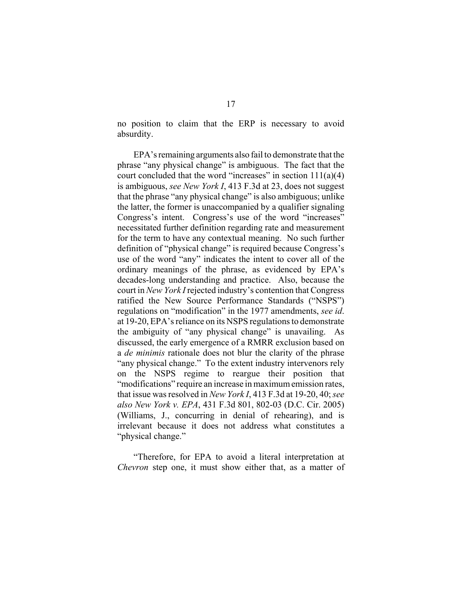no position to claim that the ERP is necessary to avoid absurdity.

EPA's remaining arguments also fail to demonstrate that the phrase "any physical change" is ambiguous. The fact that the court concluded that the word "increases" in section 111(a)(4) is ambiguous, *see New York I*, 413 F.3d at 23, does not suggest that the phrase "any physical change" is also ambiguous; unlike the latter, the former is unaccompanied by a qualifier signaling Congress's intent. Congress's use of the word "increases" necessitated further definition regarding rate and measurement for the term to have any contextual meaning. No such further definition of "physical change" is required because Congress's use of the word "any" indicates the intent to cover all of the ordinary meanings of the phrase, as evidenced by EPA's decades-long understanding and practice. Also, because the court in *New York I* rejected industry's contention that Congress ratified the New Source Performance Standards ("NSPS") regulations on "modification" in the 1977 amendments, *see id*. at 19-20, EPA's reliance on its NSPS regulations to demonstrate the ambiguity of "any physical change" is unavailing. As discussed, the early emergence of a RMRR exclusion based on a *de minimis* rationale does not blur the clarity of the phrase "any physical change." To the extent industry intervenors rely on the NSPS regime to reargue their position that "modifications" require an increase in maximum emission rates, that issue was resolved in *New York I*, 413 F.3d at 19-20, 40; *see also New York v. EPA*, 431 F.3d 801, 802-03 (D.C. Cir. 2005) (Williams, J., concurring in denial of rehearing), and is irrelevant because it does not address what constitutes a "physical change."

"Therefore, for EPA to avoid a literal interpretation at *Chevron* step one, it must show either that, as a matter of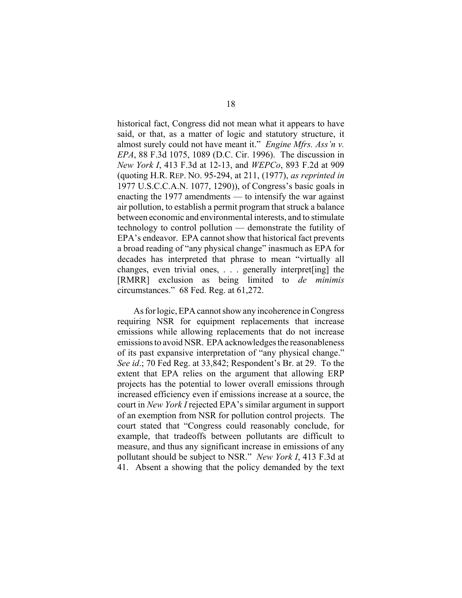historical fact, Congress did not mean what it appears to have said, or that, as a matter of logic and statutory structure, it almost surely could not have meant it." *Engine Mfrs. Ass'n v. EPA*, 88 F.3d 1075, 1089 (D.C. Cir. 1996). The discussion in *New York I*, 413 F.3d at 12-13, and *WEPCo*, 893 F.2d at 909 (quoting H.R. REP. NO. 95-294, at 211, (1977), *as reprinted in* 1977 U.S.C.C.A.N. 1077, 1290)), of Congress's basic goals in enacting the 1977 amendments — to intensify the war against air pollution, to establish a permit program that struck a balance between economic and environmental interests, and to stimulate technology to control pollution — demonstrate the futility of EPA's endeavor. EPA cannot show that historical fact prevents a broad reading of "any physical change" inasmuch as EPA for decades has interpreted that phrase to mean "virtually all changes, even trivial ones, . . . generally interpret[ing] the [RMRR] exclusion as being limited to *de minimis* circumstances." 68 Fed. Reg. at 61,272.

As for logic, EPA cannot show any incoherence in Congress requiring NSR for equipment replacements that increase emissions while allowing replacements that do not increase emissions to avoid NSR. EPA acknowledges the reasonableness of its past expansive interpretation of "any physical change." *See id*.; 70 Fed Reg. at 33,842; Respondent's Br. at 29. To the extent that EPA relies on the argument that allowing ERP projects has the potential to lower overall emissions through increased efficiency even if emissions increase at a source, the court in *New York I* rejected EPA's similar argument in support of an exemption from NSR for pollution control projects. The court stated that "Congress could reasonably conclude, for example, that tradeoffs between pollutants are difficult to measure, and thus any significant increase in emissions of any pollutant should be subject to NSR." *New York I*, 413 F.3d at 41. Absent a showing that the policy demanded by the text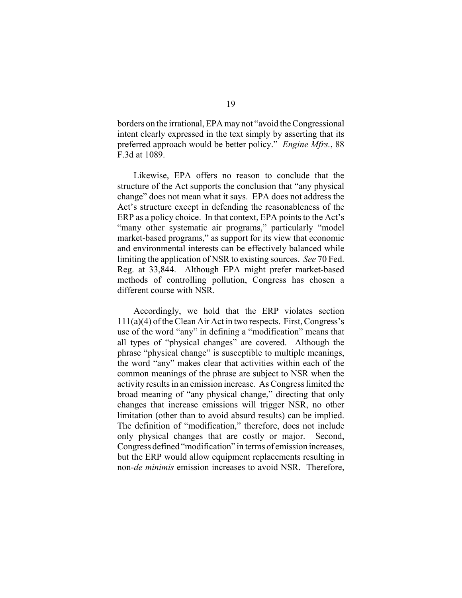borders on the irrational, EPA may not "avoid the Congressional intent clearly expressed in the text simply by asserting that its preferred approach would be better policy." *Engine Mfrs.*, 88 F.3d at 1089.

Likewise, EPA offers no reason to conclude that the structure of the Act supports the conclusion that "any physical change" does not mean what it says. EPA does not address the Act's structure except in defending the reasonableness of the ERP as a policy choice. In that context, EPA points to the Act's "many other systematic air programs," particularly "model market-based programs," as support for its view that economic and environmental interests can be effectively balanced while limiting the application of NSR to existing sources. *See* 70 Fed. Reg. at 33,844. Although EPA might prefer market-based methods of controlling pollution, Congress has chosen a different course with NSR.

Accordingly, we hold that the ERP violates section 111(a)(4) of the Clean Air Act in two respects. First, Congress's use of the word "any" in defining a "modification" means that all types of "physical changes" are covered. Although the phrase "physical change" is susceptible to multiple meanings, the word "any" makes clear that activities within each of the common meanings of the phrase are subject to NSR when the activity results in an emission increase. As Congress limited the broad meaning of "any physical change," directing that only changes that increase emissions will trigger NSR, no other limitation (other than to avoid absurd results) can be implied. The definition of "modification," therefore, does not include only physical changes that are costly or major. Second, Congress defined "modification" in terms of emission increases, but the ERP would allow equipment replacements resulting in non-*de minimis* emission increases to avoid NSR. Therefore,